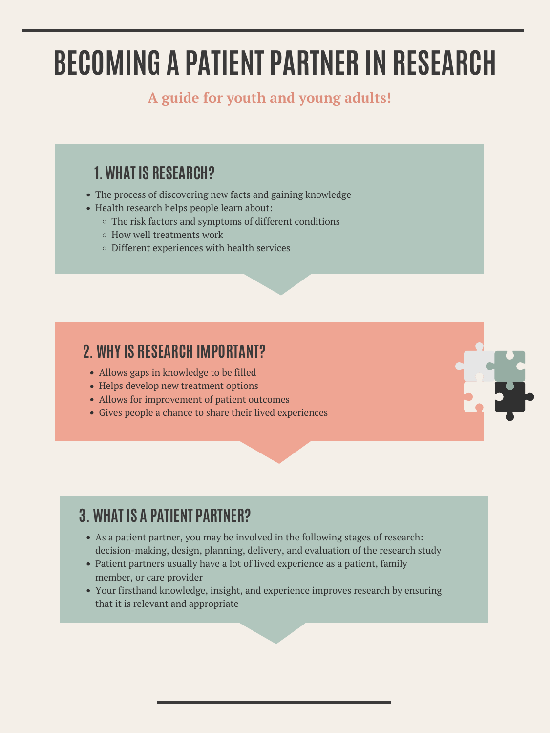## **1.WHAT IS RESEARCH?**

- The process of discovering new facts and gaining knowledge
- Health research helps people learn about:
	- The risk factors and symptoms of different conditions
	- How well treatments work
	- Different experiences with health services

- Allows gaps in knowledge to be filled
- Helps develop new treatment options
- Allows for improvement of patient outcomes
- Gives people a chance to share their lived experiences



# **BECOMING A PATIENT PARTNER IN RESEARCH**

#### **A guide for youth and young adults!**

#### **2. WHY IS RESEARCH IMPORTANT?**

## **3. WHAT IS A PATIENT PARTNER?**

- As a patient partner, you may be involved in the following stages of research: decision-making, design, planning, delivery, and evaluation of the research study
- Patient partners usually have a lot of lived experience as a patient, family member, or care provider
- Your firsthand knowledge, insight, and experience improves research by ensuring that it is relevant and appropriate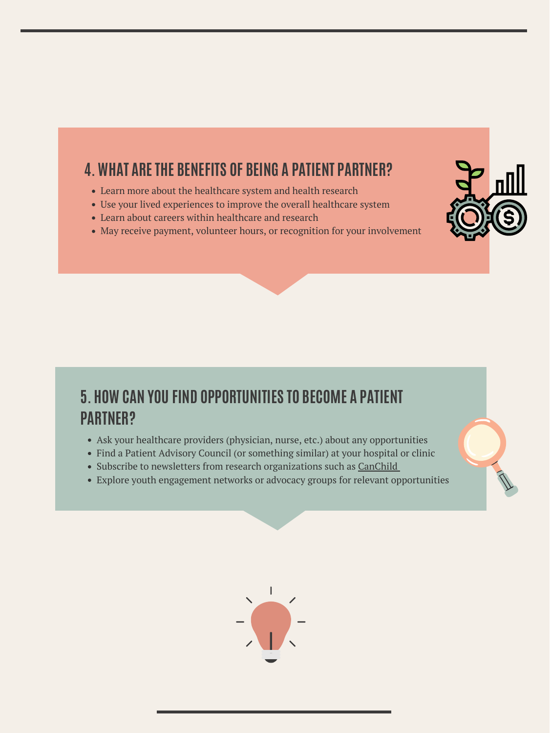#### **4. WHAT ARETHE BENEFITS OF BEING A PATIENT PARTNER?**

- Learn more about the healthcare system and health research
- Use your lived experiences to improve the overall healthcare system
- Learn about careers within healthcare and research
- May receive payment, volunteer hours, or recognition for your involvement



## **5. HOW CAN YOU FIND OPPORTUNITIES TO BECOME A PATIENT PARTNER?**

- Ask your healthcare providers (physician, nurse, etc.) about any opportunities
- Find a Patient Advisory Council (or something similar) at your hospital or clinic
- Subscribe to newsletters from research organizations such as [CanChild](https://www.canchild.ca/)
- Explore youth engagement networks or advocacy groups for relevant opportunities